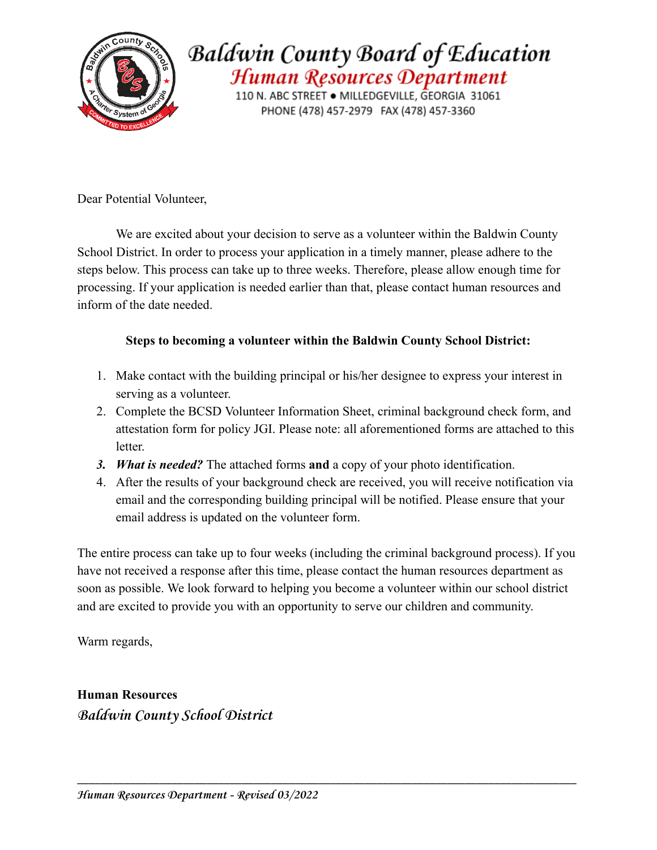

## **Baldwin County Board of Education** Human Resources Department

110 N. ABC STREET . MILLEDGEVILLE, GEORGIA 31061 PHONE (478) 457-2979 FAX (478) 457-3360

Dear Potential Volunteer,

We are excited about your decision to serve as a volunteer within the Baldwin County School District. In order to process your application in a timely manner, please adhere to the steps below. This process can take up to three weeks. Therefore, please allow enough time for processing. If your application is needed earlier than that, please contact human resources and inform of the date needed.

#### **Steps to becoming a volunteer within the Baldwin County School District:**

- 1. Make contact with the building principal or his/her designee to express your interest in serving as a volunteer.
- 2. Complete the BCSD Volunteer Information Sheet, criminal background check form, and attestation form for policy JGI. Please note: all aforementioned forms are attached to this letter.
- *3. What is needed?* The attached forms **and** a copy of your photo identification.
- 4. After the results of your background check are received, you will receive notification via email and the corresponding building principal will be notified. Please ensure that your email address is updated on the volunteer form.

The entire process can take up to four weeks (including the criminal background process). If you have not received a response after this time, please contact the human resources department as soon as possible. We look forward to helping you become a volunteer within our school district and are excited to provide you with an opportunity to serve our children and community.

\_\_\_\_\_\_\_\_\_\_\_\_\_\_\_\_\_\_\_\_\_\_\_\_\_\_\_\_\_\_\_\_\_\_\_\_\_\_\_\_\_\_\_\_\_\_\_\_\_\_\_\_\_\_\_\_\_\_\_\_\_\_\_\_\_\_\_\_\_\_\_\_\_\_\_\_\_\_\_\_\_\_\_\_\_

Warm regards,

**Human Resources** *Baldwin County School District*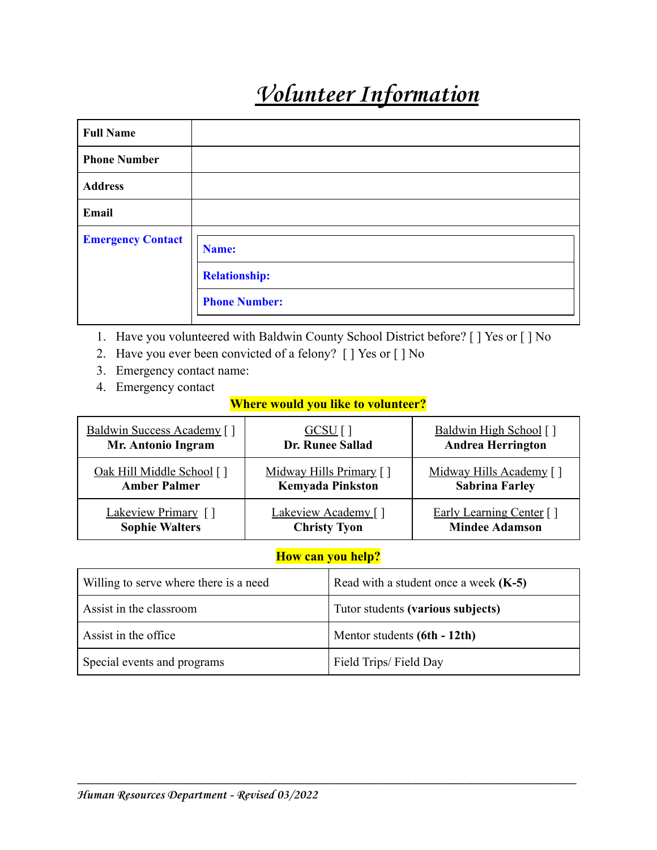# *Volunteer Information*

| <b>Full Name</b>         |                               |
|--------------------------|-------------------------------|
| <b>Phone Number</b>      |                               |
| <b>Address</b>           |                               |
| Email                    |                               |
| <b>Emergency Contact</b> | Name:<br><b>Relationship:</b> |
|                          | <b>Phone Number:</b>          |

- 1. Have you volunteered with Baldwin County School District before? [ ] Yes or [ ] No
- 2. Have you ever been convicted of a felony? [ ] Yes or [ ] No
- 3. Emergency contact name:
- 4. Emergency contact

#### **Where would you like to volunteer?**

| Baldwin Success Academy [] | $GCSU$ [ ]              | <b>Baldwin High School</b> [] |
|----------------------------|-------------------------|-------------------------------|
| Mr. Antonio Ingram         | Dr. Runee Sallad        | <b>Andrea Herrington</b>      |
| Oak Hill Middle School []  | Midway Hills Primary [] | Midway Hills Academy []       |
| <b>Amber Palmer</b>        | <b>Kemyada Pinkston</b> | <b>Sabrina Farley</b>         |
| Lakeview Primary []        | Lakeview Academy []     | Early Learning Center []      |
| <b>Sophie Walters</b>      | <b>Christy Tyon</b>     | <b>Mindee Adamson</b>         |

#### **How can you help?**

| Willing to serve where there is a need | Read with a student once a week $(K-5)$ |  |
|----------------------------------------|-----------------------------------------|--|
| Assist in the classroom                | Tutor students (various subjects)       |  |
| Assist in the office                   | Mentor students (6th - 12th)            |  |
| Special events and programs            | Field Trips/Field Day                   |  |

\_\_\_\_\_\_\_\_\_\_\_\_\_\_\_\_\_\_\_\_\_\_\_\_\_\_\_\_\_\_\_\_\_\_\_\_\_\_\_\_\_\_\_\_\_\_\_\_\_\_\_\_\_\_\_\_\_\_\_\_\_\_\_\_\_\_\_\_\_\_\_\_\_\_\_\_\_\_\_\_\_\_\_\_\_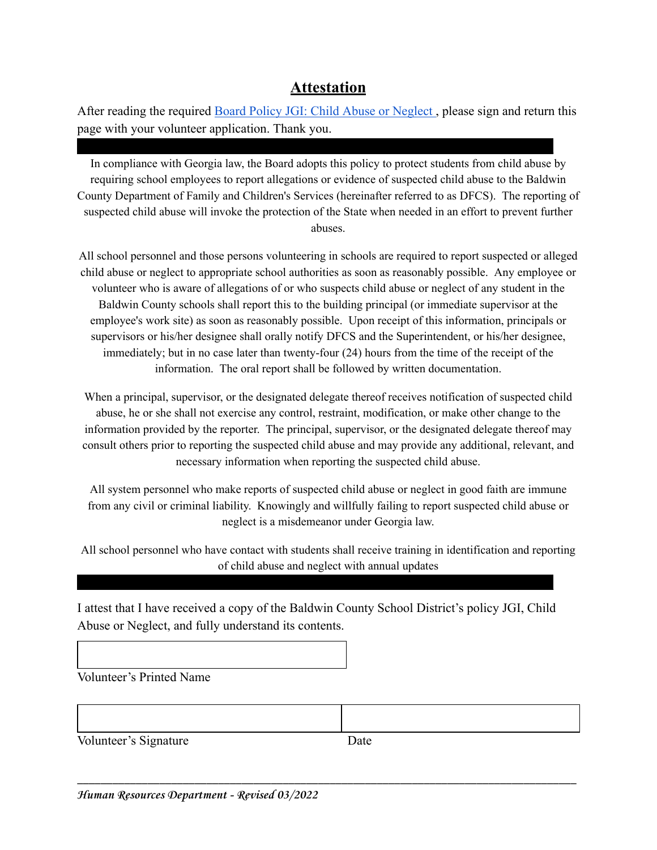### **Attestation**

After reading the required [Board Policy JGI: Child Abuse or Neglect](https://simbli.eboardsolutions.com/Policy/ViewPolicy.aspx?S=4007&revid=SwNyD42B2gmKYslshI7peOHTA==&ptid=amIgTZiB9plushNjl6WXhfiOQ==&secid=p6v70fD4K8ukRv6vtplusTtSg==&PG=6&IRP=0) , please sign and return this page with your volunteer application. Thank you.

**\_\_\_\_\_\_\_\_\_\_\_\_\_\_\_\_\_\_\_\_\_\_\_\_\_\_\_\_\_\_\_\_\_\_\_\_\_\_\_\_\_\_\_\_\_\_\_\_\_\_\_\_\_\_\_\_\_\_\_\_\_\_\_\_\_\_\_\_\_\_\_\_\_\_**

In compliance with Georgia law, the Board adopts this policy to protect students from child abuse by requiring school employees to report allegations or evidence of suspected child abuse to the Baldwin County Department of Family and Children's Services (hereinafter referred to as DFCS). The reporting of suspected child abuse will invoke the protection of the State when needed in an effort to prevent further abuses.

All school personnel and those persons volunteering in schools are required to report suspected or alleged child abuse or neglect to appropriate school authorities as soon as reasonably possible. Any employee or volunteer who is aware of allegations of or who suspects child abuse or neglect of any student in the Baldwin County schools shall report this to the building principal (or immediate supervisor at the employee's work site) as soon as reasonably possible. Upon receipt of this information, principals or supervisors or his/her designee shall orally notify DFCS and the Superintendent, or his/her designee, immediately; but in no case later than twenty-four (24) hours from the time of the receipt of the information. The oral report shall be followed by written documentation.

When a principal, supervisor, or the designated delegate thereof receives notification of suspected child abuse, he or she shall not exercise any control, restraint, modification, or make other change to the information provided by the reporter. The principal, supervisor, or the designated delegate thereof may consult others prior to reporting the suspected child abuse and may provide any additional, relevant, and necessary information when reporting the suspected child abuse.

All system personnel who make reports of suspected child abuse or neglect in good faith are immune from any civil or criminal liability. Knowingly and willfully failing to report suspected child abuse or neglect is a misdemeanor under Georgia law.

All school personnel who have contact with students shall receive training in identification and reporting of child abuse and neglect with annual updates

I attest that I have received a copy of the Baldwin County School District's policy JGI, Child Abuse or Neglect, and fully understand its contents.

**\_\_\_\_\_\_\_\_\_\_\_\_\_\_\_\_\_\_\_\_\_\_\_\_\_\_\_\_\_\_\_\_\_\_\_\_\_\_\_\_\_\_\_\_\_\_\_\_\_\_\_\_\_\_\_\_\_\_\_\_\_\_\_\_\_\_\_\_\_\_\_\_\_\_**

Volunteer's Printed Name

Volunteer's Signature Date

\_\_\_\_\_\_\_\_\_\_\_\_\_\_\_\_\_\_\_\_\_\_\_\_\_\_\_\_\_\_\_\_\_\_\_\_\_\_\_\_\_\_\_\_\_\_\_\_\_\_\_\_\_\_\_\_\_\_\_\_\_\_\_\_\_\_\_\_\_\_\_\_\_\_\_\_\_\_\_\_\_\_\_\_\_